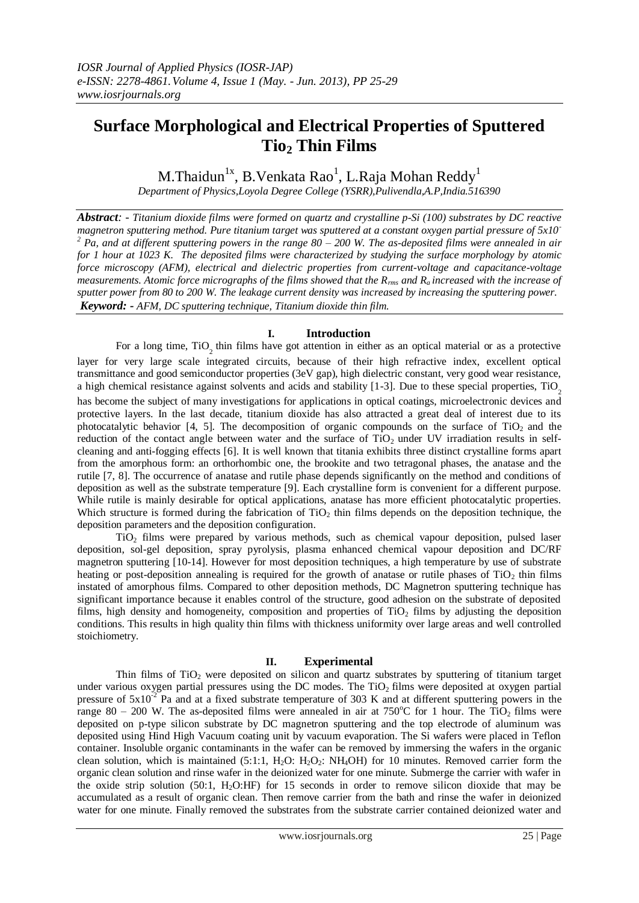# **Surface Morphological and Electrical Properties of Sputtered Tio<sup>2</sup> Thin Films**

M.Thaidun $^{\rm 1x}$ , B.Venkata Rao $^{\rm 1}$ , L.Raja Mohan Reddy $^{\rm 1}$ 

*Department of Physics,Loyola Degree College (YSRR),Pulivendla,A.P,India.516390*

*Abstract: - Titanium dioxide films were formed on quartz and crystalline p-Si (100) substrates by DC reactive magnetron sputtering method. Pure titanium target was sputtered at a constant oxygen partial pressure of 5x10- <sup>2</sup> Pa, and at different sputtering powers in the range 80 – 200 W. The as-deposited films were annealed in air for 1 hour at 1023 K. The deposited films were characterized by studying the surface morphology by atomic force microscopy (AFM), electrical and dielectric properties from current-voltage and capacitance-voltage measurements. Atomic force micrographs of the films showed that the Rrms and Ra increased with the increase of sputter power from 80 to 200 W. The leakage current density was increased by increasing the sputtering power. Keyword: - AFM, DC sputtering technique, Titanium dioxide thin film.*

## **I. Introduction**

For a long time,  $TiO_2$  thin films have got attention in either as an optical material or as a protective layer for very large scale integrated circuits, because of their high refractive index, excellent optical transmittance and good semiconductor properties (3eV gap), high dielectric constant, very good wear resistance, a high chemical resistance against solvents and acids and stability  $[1-3]$ . Due to these special properties,  $TiO<sub>2</sub>$ has become the subject of many investigations for applications in optical coatings, microelectronic devices and protective layers. In the last decade, titanium dioxide has also attracted a great deal of interest due to its photocatalytic behavior  $[4, 5]$ . The decomposition of organic compounds on the surface of TiO<sub>2</sub> and the reduction of the contact angle between water and the surface of  $TiO<sub>2</sub>$  under UV irradiation results in selfcleaning and anti-fogging effects [6]. It is well known that titania exhibits three distinct crystalline forms apart from the amorphous form: an orthorhombic one, the brookite and two tetragonal phases, the anatase and the rutile [7, 8]. The occurrence of anatase and rutile phase depends significantly on the method and conditions of deposition as well as the substrate temperature [9]. Each crystalline form is convenient for a different purpose. While rutile is mainly desirable for optical applications, anatase has more efficient photocatalytic properties. Which structure is formed during the fabrication of  $TiO<sub>2</sub>$  thin films depends on the deposition technique, the deposition parameters and the deposition configuration.

TiO<sup>2</sup> films were prepared by various methods, such as chemical vapour deposition, pulsed laser deposition, sol-gel deposition, spray pyrolysis, plasma enhanced chemical vapour deposition and DC/RF magnetron sputtering [10-14]. However for most deposition techniques, a high temperature by use of substrate heating or post-deposition annealing is required for the growth of anatase or rutile phases of  $TiO<sub>2</sub>$  thin films instated of amorphous films. Compared to other deposition methods, DC Magnetron sputtering technique has significant importance because it enables control of the structure, good adhesion on the substrate of deposited films, high density and homogeneity, composition and properties of  $TiO<sub>2</sub>$  films by adjusting the deposition conditions. This results in high quality thin films with thickness uniformity over large areas and well controlled stoichiometry.

## **II. Experimental**

Thin films of  $TiO<sub>2</sub>$  were deposited on silicon and quartz substrates by sputtering of titanium target under various oxygen partial pressures using the DC modes. The  $TiO<sub>2</sub>$  films were deposited at oxygen partial pressure of  $5x10^{-2}$  Pa and at a fixed substrate temperature of 303 K and at different sputtering powers in the range 80 – 200 W. The as-deposited films were annealed in air at 750 $^{\circ}$ C for 1 hour. The TiO<sub>2</sub> films were deposited on p-type silicon substrate by DC magnetron sputtering and the top electrode of aluminum was deposited using Hind High Vacuum coating unit by vacuum evaporation. The Si wafers were placed in Teflon container. Insoluble organic contaminants in the wafer can be removed by immersing the wafers in the organic clean solution, which is maintained (5:1:1,  $H_2O$ :  $H_2O_2$ :  $NH_4OH$ ) for 10 minutes. Removed carrier form the organic clean solution and rinse wafer in the deionized water for one minute. Submerge the carrier with wafer in the oxide strip solution (50:1, H2O:HF) for 15 seconds in order to remove silicon dioxide that may be accumulated as a result of organic clean. Then remove carrier from the bath and rinse the wafer in deionized water for one minute. Finally removed the substrates from the substrate carrier contained deionized water and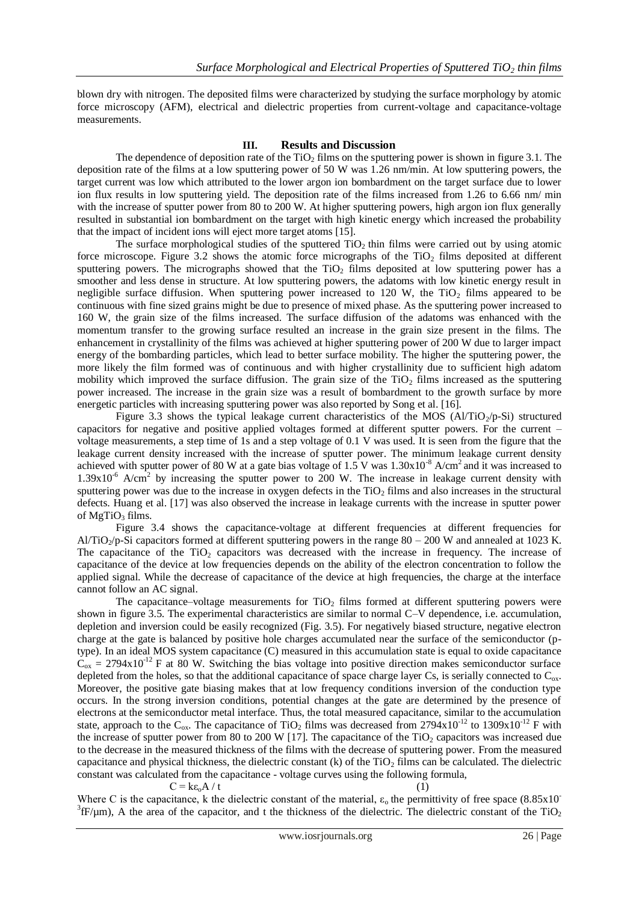blown dry with nitrogen. The deposited films were characterized by studying the surface morphology by atomic force microscopy (AFM), electrical and dielectric properties from current-voltage and capacitance-voltage measurements.

#### **III. Results and Discussion**

The dependence of deposition rate of the TiO<sub>2</sub> films on the sputtering power is shown in figure 3.1. The deposition rate of the films at a low sputtering power of 50 W was 1.26 nm/min. At low sputtering powers, the target current was low which attributed to the lower argon ion bombardment on the target surface due to lower ion flux results in low sputtering yield. The deposition rate of the films increased from 1.26 to 6.66 nm/ min with the increase of sputter power from 80 to 200 W. At higher sputtering powers, high argon ion flux generally resulted in substantial ion bombardment on the target with high kinetic energy which increased the probability that the impact of incident ions will eject more target atoms [15].

The surface morphological studies of the sputtered  $TiO<sub>2</sub>$  thin films were carried out by using atomic force microscope. Figure 3.2 shows the atomic force micrographs of the  $TiO<sub>2</sub>$  films deposited at different sputtering powers. The micrographs showed that the  $TiO<sub>2</sub>$  films deposited at low sputtering power has a smoother and less dense in structure. At low sputtering powers, the adatoms with low kinetic energy result in negligible surface diffusion. When sputtering power increased to 120 W, the TiO<sub>2</sub> films appeared to be continuous with fine sized grains might be due to presence of mixed phase. As the sputtering power increased to 160 W, the grain size of the films increased. The surface diffusion of the adatoms was enhanced with the momentum transfer to the growing surface resulted an increase in the grain size present in the films. The enhancement in crystallinity of the films was achieved at higher sputtering power of 200 W due to larger impact energy of the bombarding particles, which lead to better surface mobility. The higher the sputtering power, the more likely the film formed was of continuous and with higher crystallinity due to sufficient high adatom mobility which improved the surface diffusion. The grain size of the  $TiO<sub>2</sub>$  films increased as the sputtering power increased. The increase in the grain size was a result of bombardment to the growth surface by more energetic particles with increasing sputtering power was also reported by Song et al. [16].

Figure 3.3 shows the typical leakage current characteristics of the MOS (Al/TiO<sub>2</sub>/p-Si) structured capacitors for negative and positive applied voltages formed at different sputter powers. For the current – voltage measurements, a step time of 1s and a step voltage of 0.1 V was used. It is seen from the figure that the leakage current density increased with the increase of sputter power. The minimum leakage current density achieved with sputter power of 80 W at a gate bias voltage of 1.5 V was  $1.30x10^{-8}$  A/cm<sup>2</sup> and it was increased to 1.39x10<sup>-6</sup> A/cm<sup>2</sup> by increasing the sputter power to 200 W. The increase in leakage current density with sputtering power was due to the increase in oxygen defects in the  $TiO<sub>2</sub>$  films and also increases in the structural defects. Huang et al. [17] was also observed the increase in leakage currents with the increase in sputter power of  $MgTiO<sub>3</sub>$  films.

Figure 3.4 shows the capacitance-voltage at different frequencies at different frequencies for Al/TiO<sub>2</sub>/p-Si capacitors formed at different sputtering powers in the range 80 – 200 W and annealed at 1023 K. The capacitance of the  $TiO<sub>2</sub>$  capacitors was decreased with the increase in frequency. The increase of capacitance of the device at low frequencies depends on the ability of the electron concentration to follow the applied signal. While the decrease of capacitance of the device at high frequencies, the charge at the interface cannot follow an AC signal.

The capacitance–voltage measurements for  $TiO<sub>2</sub>$  films formed at different sputtering powers were shown in figure 3.5. The experimental characteristics are similar to normal C–V dependence, i.e. accumulation, depletion and inversion could be easily recognized (Fig. 3.5). For negatively biased structure, negative electron charge at the gate is balanced by positive hole charges accumulated near the surface of the semiconductor (ptype). In an ideal MOS system capacitance (C) measured in this accumulation state is equal to oxide capacitance  $C_{ox} = 2794x10^{-12}$  F at 80 W. Switching the bias voltage into positive direction makes semiconductor surface depleted from the holes, so that the additional capacitance of space charge layer Cs, is serially connected to  $C_{\alpha}$ . Moreover, the positive gate biasing makes that at low frequency conditions inversion of the conduction type occurs. In the strong inversion conditions, potential changes at the gate are determined by the presence of electrons at the semiconductor metal interface. Thus, the total measured capacitance, similar to the accumulation state, approach to the C<sub>ox</sub>. The capacitance of TiO<sub>2</sub> films was decreased from 2794x10<sup>-12</sup> to 1309x10<sup>-12</sup> F with the increase of sputter power from 80 to 200 W [17]. The capacitance of the  $TiO<sub>2</sub>$  capacitors was increased due to the decrease in the measured thickness of the films with the decrease of sputtering power. From the measured capacitance and physical thickness, the dielectric constant  $(k)$  of the TiO<sub>2</sub> films can be calculated. The dielectric constant was calculated from the capacitance - voltage curves using the following formula,

 $C = k\epsilon_0 A / t$  (1)

Where C is the capacitance, k the dielectric constant of the material,  $\varepsilon_0$  the permittivity of free space (8.85x10<sup>-</sup>)  ${}^{3}$ fF/ $\mu$ m), A the area of the capacitor, and t the thickness of the dielectric. The dielectric constant of the TiO<sub>2</sub>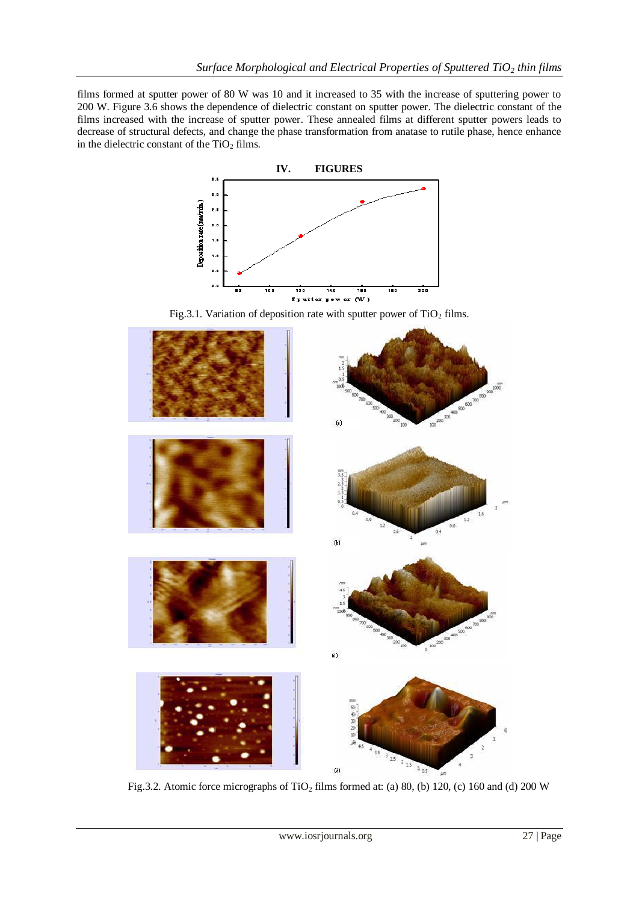films formed at sputter power of 80 W was 10 and it increased to 35 with the increase of sputtering power to 200 W. Figure 3.6 shows the dependence of dielectric constant on sputter power. The dielectric constant of the films increased with the increase of sputter power. These annealed films at different sputter powers leads to decrease of structural defects, and change the phase transformation from anatase to rutile phase, hence enhance in the dielectric constant of the  $TiO<sub>2</sub>$  films.



Fig.3.1. Variation of deposition rate with sputter power of  $TiO<sub>2</sub>$  films.



Fig.3.2. Atomic force micrographs of  $TiO<sub>2</sub>$  films formed at: (a) 80, (b) 120, (c) 160 and (d) 200 W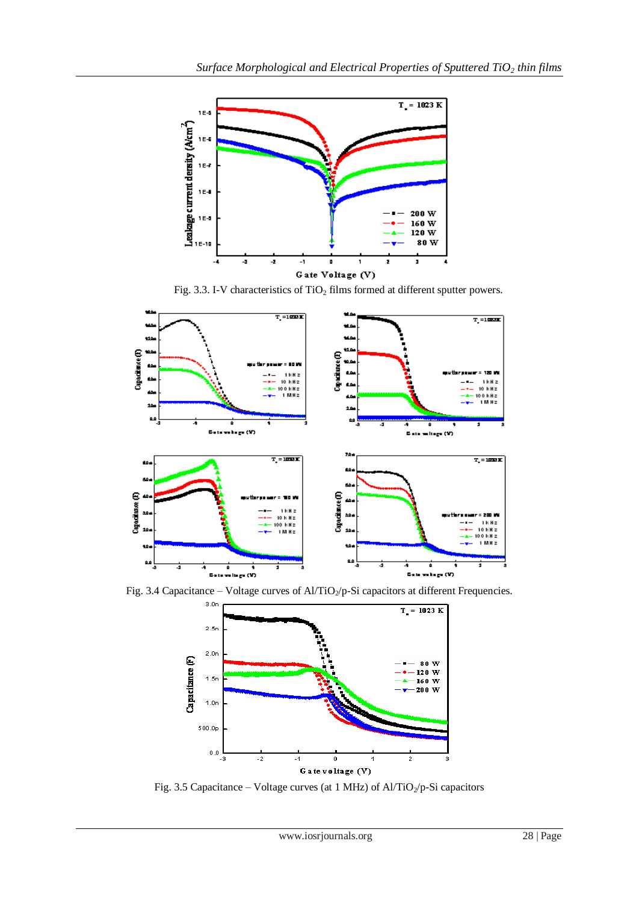

Fig. 3.3. I-V characteristics of TiO<sub>2</sub> films formed at different sputter powers.



Fig. 3.4 Capacitance – Voltage curves of Al/TiO<sub>2</sub>/p-Si capacitors at different Frequencies.



Fig. 3.5 Capacitance – Voltage curves (at 1 MHz) of Al/TiO<sub>2</sub>/p-Si capacitors